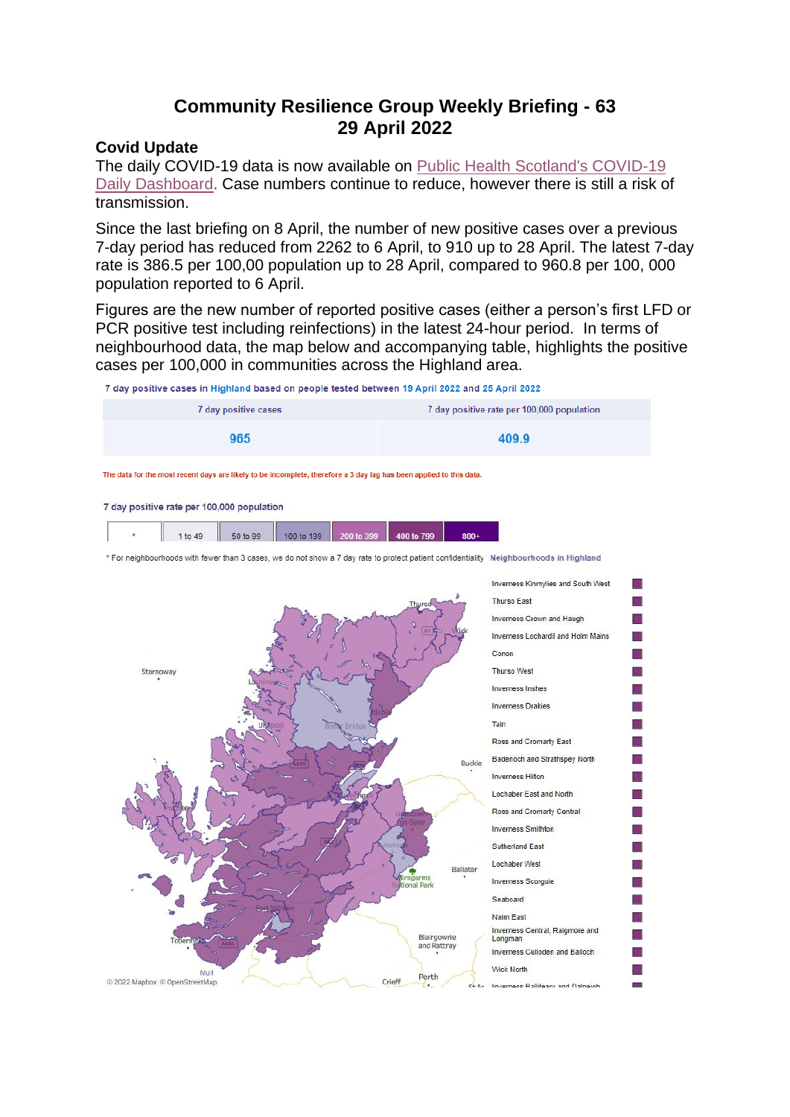# **Community Resilience Group Weekly Briefing - 63 29 April 2022**

#### **Covid Update**

The daily COVID-19 data is now available on [Public Health Scotland's COVID-19](https://public.tableau.com/app/profile/phs.covid.19/viz/COVID-19DailyDashboard_15960160643010/Dailyupdate)  [Daily Dashboard.](https://public.tableau.com/app/profile/phs.covid.19/viz/COVID-19DailyDashboard_15960160643010/Dailyupdate) Case numbers continue to reduce, however there is still a risk of transmission.

Since the last briefing on 8 April, the number of new positive cases over a previous 7-day period has reduced from 2262 to 6 April, to 910 up to 28 April. The latest 7-day rate is 386.5 per 100,00 population up to 28 April, compared to 960.8 per 100, 000 population reported to 6 April.

Figures are the new number of reported positive cases (either a person's first LFD or PCR positive test including reinfections) in the latest 24-hour period. In terms of neighbourhood data, the map below and accompanying table, highlights the positive cases per 100,000 in communities across the Highland area.

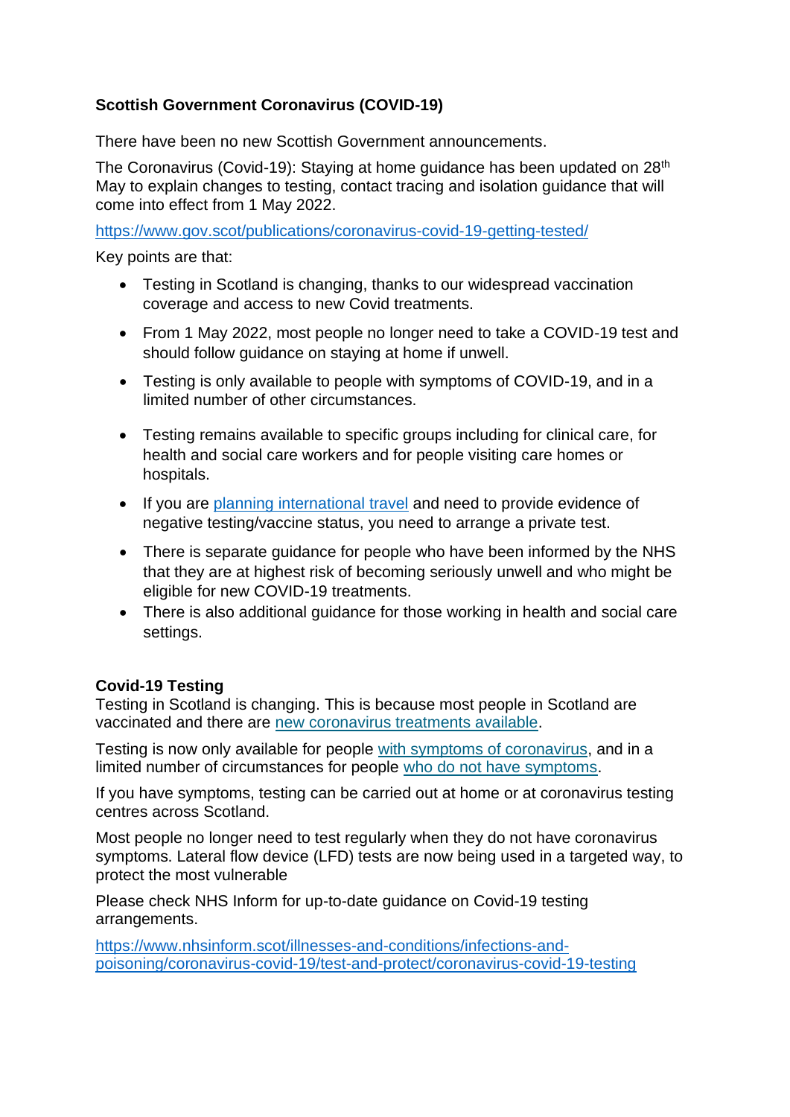# **Scottish Government Coronavirus (COVID-19)**

There have been no new Scottish Government announcements.

The Coronavirus (Covid-19): Staying at home guidance has been updated on 28th May to explain changes to testing, contact tracing and isolation guidance that will come into effect from 1 May 2022.

<https://www.gov.scot/publications/coronavirus-covid-19-getting-tested/>

Key points are that:

- Testing in Scotland is changing, thanks to our widespread vaccination coverage and access to new Covid treatments.
- From 1 May 2022, most people no longer need to take a COVID-19 test and should follow guidance on staying at home if unwell.
- Testing is only available to people with symptoms of COVID-19, and in a limited number of other circumstances.
- Testing remains available to specific groups including for clinical care, for health and social care workers and for people visiting care homes or hospitals.
- If you are [planning international travel](https://www.gov.scot/publications/coronavirus-covid-19-international-travel-quarantine/) and need to provide evidence of negative testing/vaccine status, you need to arrange a private test.
- There is separate guidance for people who have been informed by the NHS that they are at highest risk of becoming seriously unwell and who might be eligible for new COVID-19 treatments.
- There is also additional guidance for those working in health and social care settings.

### **Covid-19 Testing**

Testing in Scotland is changing. This is because most people in Scotland are vaccinated and there are [new coronavirus treatments available.](https://www.nhsinform.scot/illnesses-and-conditions/infections-and-poisoning/coronavirus-covid-19/coronavirus-covid-19-treatments/)

Testing is now only available for people [with symptoms of coronavirus,](https://www.nhsinform.scot/illnesses-and-conditions/infections-and-poisoning/coronavirus-covid-19/test-and-protect/coronavirus-covid-19-get-a-test-if-you-have-symptoms/) and in a limited number of circumstances for people [who do not have symptoms.](https://www.nhsinform.scot/illnesses-and-conditions/infections-and-poisoning/coronavirus-covid-19/test-and-protect/coronavirus-covid-19-get-a-test-if-you-do-not-have-symptoms/)

If you have symptoms, testing can be carried out at home or at coronavirus testing centres across Scotland.

Most people no longer need to test regularly when they do not have coronavirus symptoms. Lateral flow device (LFD) tests are now being used in a targeted way, to protect the most vulnerable

Please check NHS Inform for up-to-date guidance on Covid-19 testing arrangements.

[https://www.nhsinform.scot/illnesses-and-conditions/infections-and](https://www.nhsinform.scot/illnesses-and-conditions/infections-and-poisoning/coronavirus-covid-19/test-and-protect/coronavirus-covid-19-testing)[poisoning/coronavirus-covid-19/test-and-protect/coronavirus-covid-19-testing](https://www.nhsinform.scot/illnesses-and-conditions/infections-and-poisoning/coronavirus-covid-19/test-and-protect/coronavirus-covid-19-testing)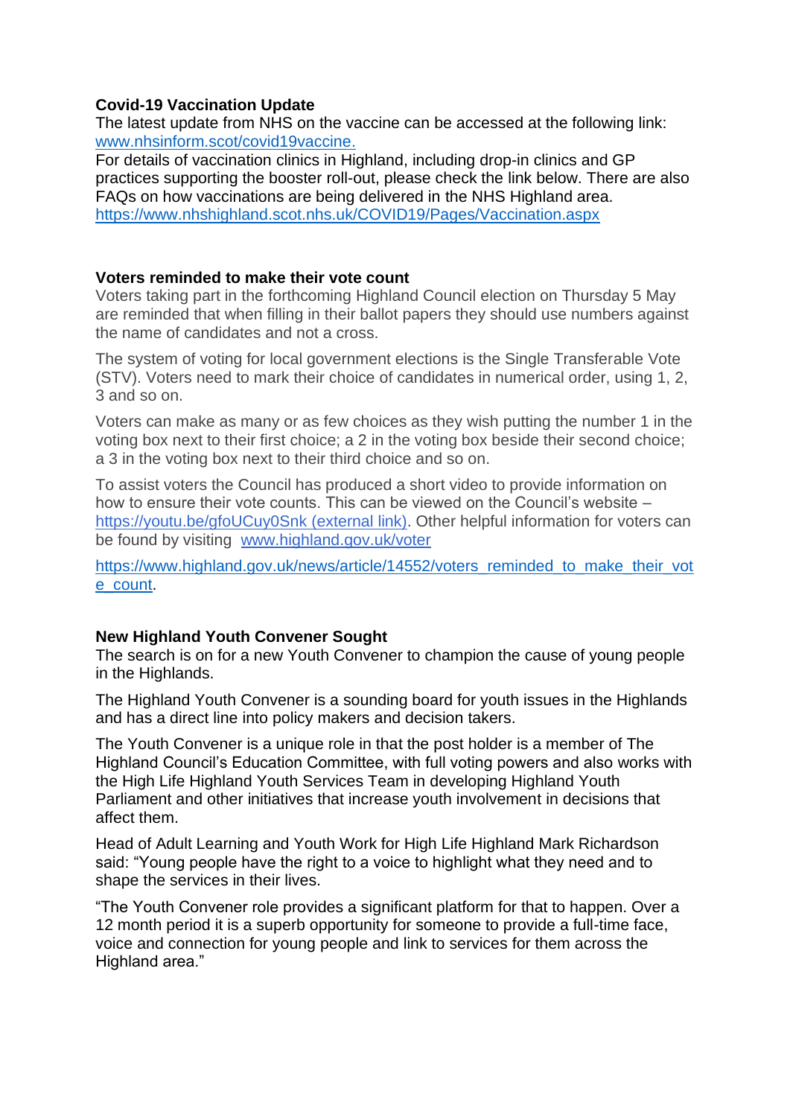### **Covid-19 Vaccination Update**

The latest update from NHS on the vaccine can be accessed at the following link: [www.nhsinform.scot/covid19vaccine.](http://www.nhsinform.scot/covid19vaccine)

For details of vaccination clinics in Highland, including drop-in clinics and GP practices supporting the booster roll-out, please check the link below. There are also FAQs on how vaccinations are being delivered in the NHS Highland area. <https://www.nhshighland.scot.nhs.uk/COVID19/Pages/Vaccination.aspx>

### **Voters reminded to make their vote count**

Voters taking part in the forthcoming Highland Council election on Thursday 5 May are reminded that when filling in their ballot papers they should use numbers against the name of candidates and not a cross.

The system of voting for local government elections is the Single Transferable Vote (STV). Voters need to mark their choice of candidates in numerical order, using 1, 2, 3 and so on.

Voters can make as many or as few choices as they wish putting the number 1 in the voting box next to their first choice; a 2 in the voting box beside their second choice; a 3 in the voting box next to their third choice and so on.

To assist voters the Council has produced a short video to provide information on how to ensure their vote counts. This can be viewed on the Council's website – [https://youtu.be/gfoUCuy0Snk](https://eur02.safelinks.protection.outlook.com/?url=https%3A%2F%2Fyoutu.be%2FgfoUCuy0Snk&data=05%7C01%7Csylvia.tarrant%40highland.gov.uk%7Cc4015ca3e0294fd7fdd608da27660d86%7C89f0b56e6d164fe89dba176fa940f7c9%7C0%7C0%7C637865616500160342%7CUnknown%7CTWFpbGZsb3d8eyJWIjoiMC4wLjAwMDAiLCJQIjoiV2luMzIiLCJBTiI6Ik1haWwiLCJXVCI6Mn0%3D%7C3000%7C%7C%7C&sdata=QfYU4Nfgm1NViIYQqUsdcpGkj5ztpNE3sKw9Rh0rdvs%3D&reserved=0) (external link). Other helpful information for voters can be found by visiting [www.highland.gov.uk/voter](http://www.highland.gov.uk/voter)

[https://www.highland.gov.uk/news/article/14552/voters\\_reminded\\_to\\_make\\_their\\_vot](https://www.highland.gov.uk/news/article/14552/voters_reminded_to_make_their_vote_count) [e\\_count.](https://www.highland.gov.uk/news/article/14552/voters_reminded_to_make_their_vote_count)

## **New Highland Youth Convener Sought**

The search is on for a new Youth Convener to champion the cause of young people in the Highlands.

The Highland Youth Convener is a sounding board for youth issues in the Highlands and has a direct line into policy makers and decision takers.

The Youth Convener is a unique role in that the post holder is a member of The Highland Council's Education Committee, with full voting powers and also works with the High Life Highland Youth Services Team in developing Highland Youth Parliament and other initiatives that increase youth involvement in decisions that affect them.

Head of Adult Learning and Youth Work for High Life Highland Mark Richardson said: "Young people have the right to a voice to highlight what they need and to shape the services in their lives.

"The Youth Convener role provides a significant platform for that to happen. Over a 12 month period it is a superb opportunity for someone to provide a full-time face, voice and connection for young people and link to services for them across the Highland area."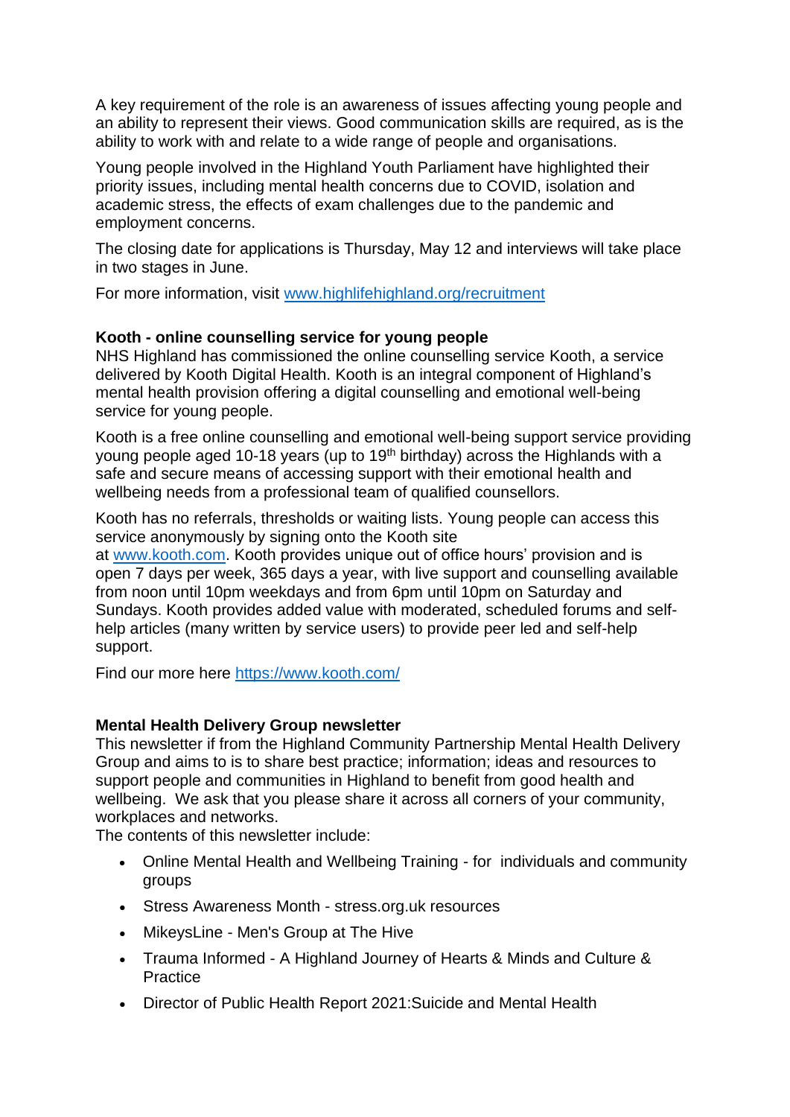A key requirement of the role is an awareness of issues affecting young people and an ability to represent their views. Good communication skills are required, as is the ability to work with and relate to a wide range of people and organisations.

Young people involved in the Highland Youth Parliament have highlighted their priority issues, including mental health concerns due to COVID, isolation and academic stress, the effects of exam challenges due to the pandemic and employment concerns.

The closing date for applications is Thursday, May 12 and interviews will take place in two stages in June.

For more information, visit [www.highlifehighland.org/recruitment](https://eur02.safelinks.protection.outlook.com/?url=http%3A%2F%2Fwww.highlifehighland.org%2Frecruitment&data=05%7C01%7CRosemary.MacKinnon%40highland.gov.uk%7C18862ef76f514429393608da2907c983%7C89f0b56e6d164fe89dba176fa940f7c9%7C0%7C0%7C637867410682620200%7CUnknown%7CTWFpbGZsb3d8eyJWIjoiMC4wLjAwMDAiLCJQIjoiV2luMzIiLCJBTiI6Ik1haWwiLCJXVCI6Mn0%3D%7C3000%7C%7C%7C&sdata=5rUNIfKc0sElED7%2BRd8wwj%2Bca7Kjk0T3hF6S0Zy5FpI%3D&reserved=0)

### **Kooth - online counselling service for young people**

NHS Highland has commissioned the online counselling service Kooth, a service delivered by Kooth Digital Health. Kooth is an integral component of Highland's mental health provision offering a digital counselling and emotional well-being service for young people.

Kooth is a free online counselling and emotional well-being support service providing young people aged 10-18 years (up to 19<sup>th</sup> birthday) across the Highlands with a safe and secure means of accessing support with their emotional health and wellbeing needs from a professional team of qualified counsellors.

Kooth has no referrals, thresholds or waiting lists. Young people can access this service anonymously by signing onto the Kooth site

at [www.kooth.com.](https://eur02.safelinks.protection.outlook.com/?url=http%3A%2F%2Fwww.kooth.com%2F&data=05%7C01%7CRosemary.MacKinnon%40highland.gov.uk%7Cbbefd96dfc8a4ab7ce0c08da285d7015%7C89f0b56e6d164fe89dba176fa940f7c9%7C0%7C0%7C637866679016190613%7CUnknown%7CTWFpbGZsb3d8eyJWIjoiMC4wLjAwMDAiLCJQIjoiV2luMzIiLCJBTiI6Ik1haWwiLCJXVCI6Mn0%3D%7C3000%7C%7C%7C&sdata=n1BFx3osfFeuBHbJaCLiIMQdZbiY2i%2F78N5VOGGhIBQ%3D&reserved=0) Kooth provides unique out of office hours' provision and is open 7 days per week, 365 days a year, with live support and counselling available from noon until 10pm weekdays and from 6pm until 10pm on Saturday and Sundays. Kooth provides added value with moderated, scheduled forums and selfhelp articles (many written by service users) to provide peer led and self-help support.

Find our more here<https://www.kooth.com/>

### **Mental Health Delivery Group newsletter**

This newsletter if from the Highland Community Partnership Mental Health Delivery Group and aims to is to share best practice; information; ideas and resources to support people and communities in Highland to benefit from good health and wellbeing. We ask that you please share it across all corners of your community, workplaces and networks.

The contents of this newsletter include:

- Online Mental Health and Wellbeing Training for individuals and community groups
- Stress Awareness Month stress.org.uk resources
- MikeysLine Men's Group at The Hive
- Trauma Informed A Highland Journey of Hearts & Minds and Culture & Practice
- Director of Public Health Report 2021:Suicide and Mental Health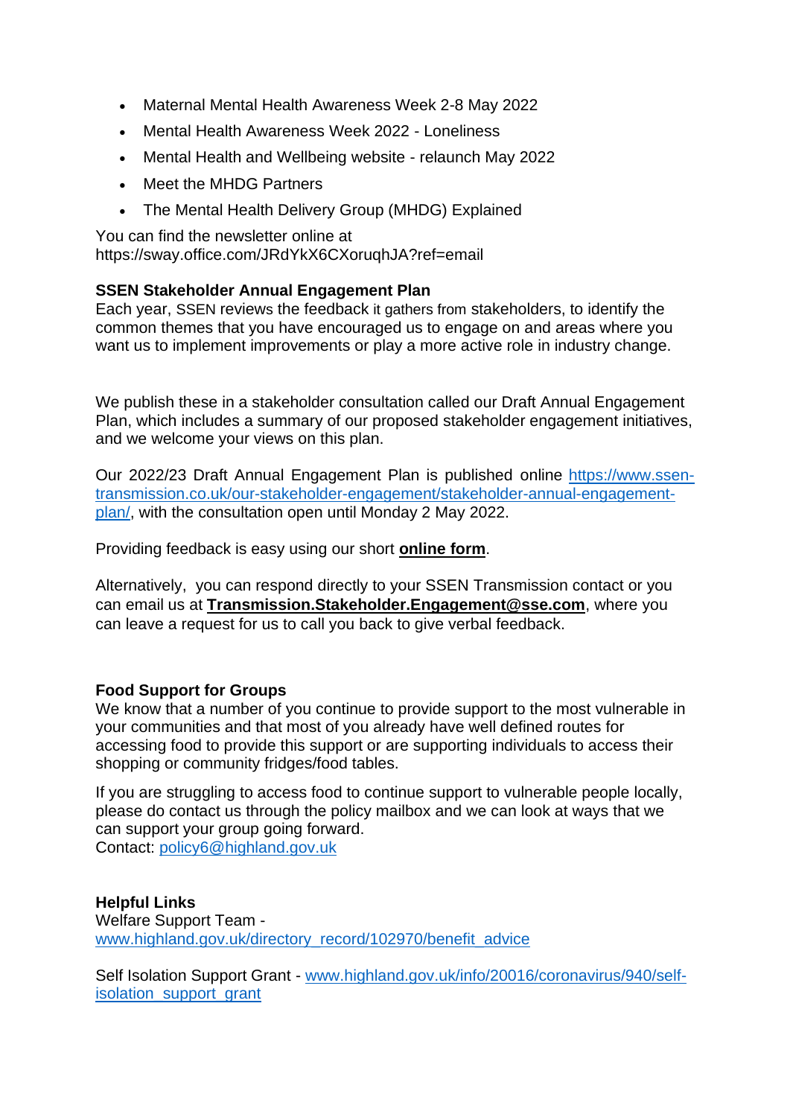- Maternal Mental Health Awareness Week 2-8 May 2022
- Mental Health Awareness Week 2022 Loneliness
- Mental Health and Wellbeing website relaunch May 2022
- Meet the MHDG Partners
- The Mental Health Delivery Group (MHDG) Explained

You can find the newsletter online at https://sway.office.com/JRdYkX6CXoruqhJA?ref=email

## **SSEN Stakeholder Annual Engagement Plan**

Each year, SSEN reviews the feedback it gathers from stakeholders, to identify the common themes that you have encouraged us to engage on and areas where you want us to implement improvements or play a more active role in industry change.

We publish these in a stakeholder consultation called our Draft Annual Engagement Plan, which includes a summary of our proposed stakeholder engagement initiatives, and we welcome your views on this plan.

Our 2022/23 Draft Annual Engagement Plan is published online [https://www.ssen](https://www.ssen-transmission.co.uk/our-stakeholder-engagement/stakeholder-annual-engagement-plan/)[transmission.co.uk/our-stakeholder-engagement/stakeholder-annual-engagement](https://www.ssen-transmission.co.uk/our-stakeholder-engagement/stakeholder-annual-engagement-plan/)[plan/,](https://www.ssen-transmission.co.uk/our-stakeholder-engagement/stakeholder-annual-engagement-plan/) with the consultation open until Monday 2 May 2022.

Providing feedback is easy using our short **[online form](https://eur02.safelinks.protection.outlook.com/?url=https%3A%2F%2Fssentransmission.newsweaver.com%2Fy2lu5hq56s%2F13r1rjn7jxa8ijnaqbxc7g%2Fexternal%3Femail%3Dtrue%26a%3D5%26p%3D9361426%26t%3D1605072&data=05%7C01%7CRosemary.MacKinnon%40highland.gov.uk%7C601707ff4c4140f0930a08da2766dfdc%7C89f0b56e6d164fe89dba176fa940f7c9%7C0%7C0%7C637865620036160529%7CUnknown%7CTWFpbGZsb3d8eyJWIjoiMC4wLjAwMDAiLCJQIjoiV2luMzIiLCJBTiI6Ik1haWwiLCJXVCI6Mn0%3D%7C3000%7C%7C%7C&sdata=tZO%2FFc6UePOy47JagxTZe9vKxT58M11E7mYotBg6tE4%3D&reserved=0)**.

Alternatively, you can respond directly to your SSEN Transmission contact or you can email us at **[Transmission.Stakeholder.Engagement@sse.com](mailto:Transmission.Stakeholder.Engagement@sse.com)**, where you can leave a request for us to call you back to give verbal feedback.

### **Food Support for Groups**

We know that a number of you continue to provide support to the most vulnerable in your communities and that most of you already have well defined routes for accessing food to provide this support or are supporting individuals to access their shopping or community fridges/food tables.

If you are struggling to access food to continue support to vulnerable people locally, please do contact us through the policy mailbox and we can look at ways that we can support your group going forward. Contact: [policy6@highland.gov.uk](mailto:policy6@highland.gov.uk)

**Helpful Links** Welfare Support Team [www.highland.gov.uk/directory\\_record/102970/benefit\\_advice](http://www.highland.gov.uk/directory_record/102970/benefit_advice)

Self Isolation Support Grant - [www.highland.gov.uk/info/20016/coronavirus/940/self](http://www.highland.gov.uk/info/20016/coronavirus/940/self-isolation_support_grant)[isolation\\_support\\_grant](http://www.highland.gov.uk/info/20016/coronavirus/940/self-isolation_support_grant)